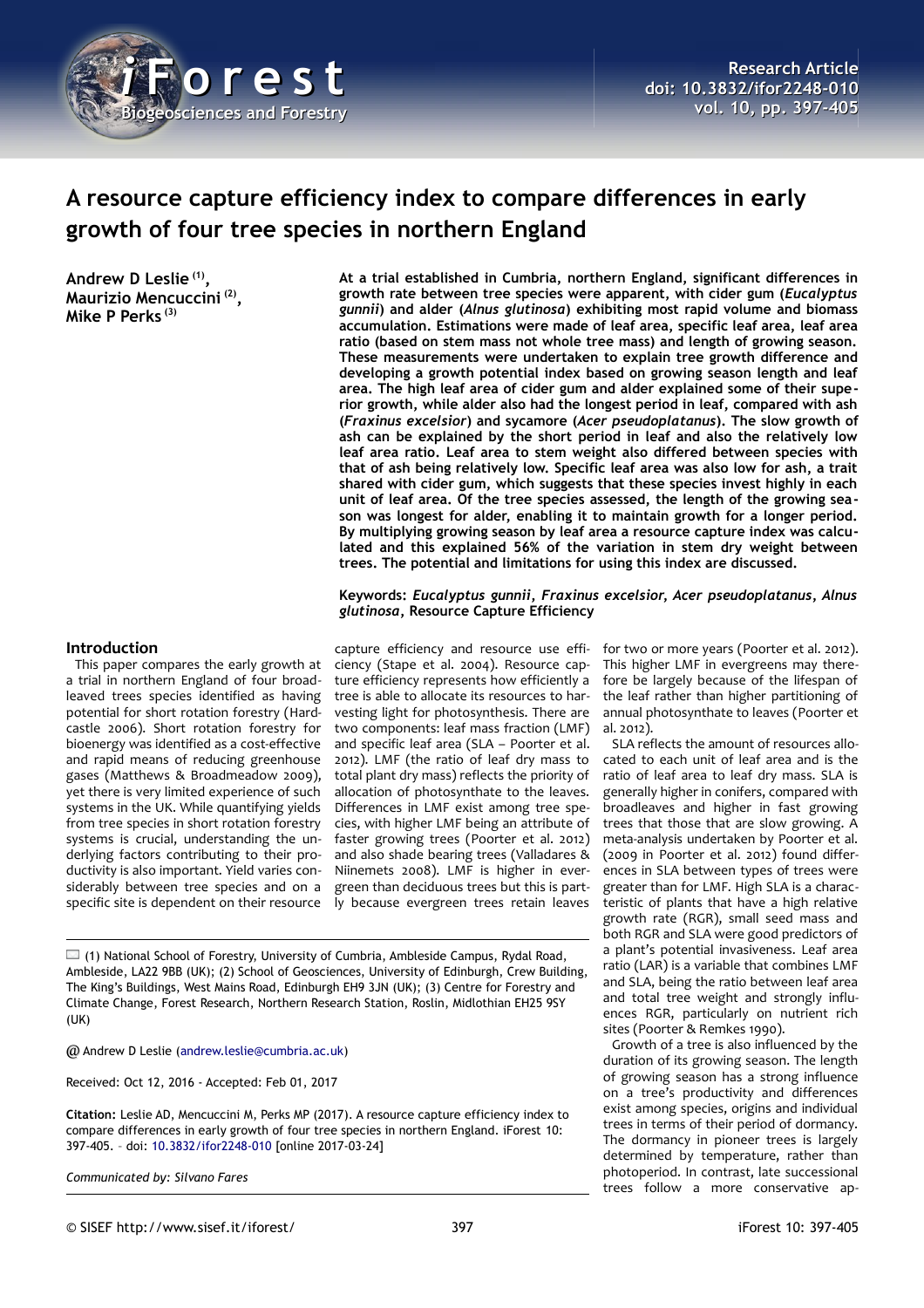

# **A resource capture efficiency index to compare differences in early growth of four tree species in northern England**

**Andrew D Leslie (1) , Maurizio Mencuccini (2) , Mike P Perks (3)**

**At a trial established in Cumbria, northern England, significant differences in growth rate between tree species were apparent, with cider gum (***Eucalyptus gunnii***) and alder (***Alnus glutinosa***) exhibiting most rapid volume and biomass accumulation. Estimations were made of leaf area, specific leaf area, leaf area ratio (based on stem mass not whole tree mass) and length of growing season. These measurements were undertaken to explain tree growth difference and developing a growth potential index based on growing season length and leaf area. The high leaf area of cider gum and alder explained some of their superior growth, while alder also had the longest period in leaf, compared with ash (***Fraxinus excelsior***) and sycamore (***Acer pseudoplatanus***). The slow growth of ash can be explained by the short period in leaf and also the relatively low leaf area ratio. Leaf area to stem weight also differed between species with that of ash being relatively low. Specific leaf area was also low for ash, a trait shared with cider gum, which suggests that these species invest highly in each unit of leaf area. Of the tree species assessed, the length of the growing season was longest for alder, enabling it to maintain growth for a longer period. By multiplying growing season by leaf area a resource capture index was calculated and this explained 56% of the variation in stem dry weight between trees. The potential and limitations for using this index are discussed.**

**Keywords:** *Eucalyptus gunnii***,** *Fraxinus excelsior***,** *Acer pseudoplatanus***,** *Alnus glutinosa***, Resource Capture Efficiency**

#### **Introduction**

This paper compares the early growth at a trial in northern England of four broadleaved trees species identified as having potential for short rotation forestry (Hardcastle 2006). Short rotation forestry for bioenergy was identified as a cost-effective and rapid means of reducing greenhouse gases (Matthews & Broadmeadow 2009), yet there is very limited experience of such systems in the UK. While quantifying yields from tree species in short rotation forestry systems is crucial, understanding the underlying factors contributing to their productivity is also important. Yield varies considerably between tree species and on a specific site is dependent on their resource

capture efficiency and resource use efficiency (Stape et al. 2004). Resource capture efficiency represents how efficiently a tree is able to allocate its resources to harvesting light for photosynthesis. There are two components: leaf mass fraction (LMF) and specific leaf area (SLA – Poorter et al. 2012). LMF (the ratio of leaf dry mass to total plant dry mass) reflects the priority of allocation of photosynthate to the leaves. Differences in LMF exist among tree species, with higher LMF being an attribute of faster growing trees (Poorter et al. 2012) and also shade bearing trees (Valladares & Niinemets 2008). LMF is higher in evergreen than deciduous trees but this is partly because evergreen trees retain leaves

 $\Box$  (1) National School of Forestry, University of Cumbria, Ambleside Campus, Rydal Road, Ambleside, LA22 9BB (UK); (2) School of Geosciences, University of Edinburgh, Crew Building, The King's Buildings, West Mains Road, Edinburgh EH9 3JN (UK); (3) Centre for Forestry and Climate Change, Forest Research, Northern Research Station, Roslin, Midlothian EH25 9SY (UK)

@ Andrew D Leslie [\(andrew.leslie@cumbria.ac.uk\)](mailto:andrew.leslie@cumbria.ac.uk)

Received: Oct 12, 2016 - Accepted: Feb 01, 2017

**Citation:** Leslie AD, Mencuccini M, Perks MP (2017). A resource capture efficiency index to compare differences in early growth of four tree species in northern England. iForest 10: 397-405. – doi: [10.3832/ifor2248-010](http://www.sisef.it/iforest/contents/?id=ifor2248-010) [online 2017-03-24]

*Communicated by: Silvano Fares*

for two or more years (Poorter et al. 2012). This higher LMF in evergreens may therefore be largely because of the lifespan of the leaf rather than higher partitioning of annual photosynthate to leaves (Poorter et al. 2012).

SLA reflects the amount of resources allocated to each unit of leaf area and is the ratio of leaf area to leaf dry mass. SLA is generally higher in conifers, compared with broadleaves and higher in fast growing trees that those that are slow growing. A meta-analysis undertaken by Poorter et al. (2009 in Poorter et al. 2012) found differences in SLA between types of trees were greater than for LMF. High SLA is a characteristic of plants that have a high relative growth rate (RGR), small seed mass and both RGR and SLA were good predictors of a plant's potential invasiveness. Leaf area ratio (LAR) is a variable that combines LMF and SLA, being the ratio between leaf area and total tree weight and strongly influences RGR, particularly on nutrient rich sites (Poorter & Remkes 1990).

Growth of a tree is also influenced by the duration of its growing season. The length of growing season has a strong influence on a tree's productivity and differences exist among species, origins and individual trees in terms of their period of dormancy. The dormancy in pioneer trees is largely determined by temperature, rather than photoperiod. In contrast, late successional trees follow a more conservative ap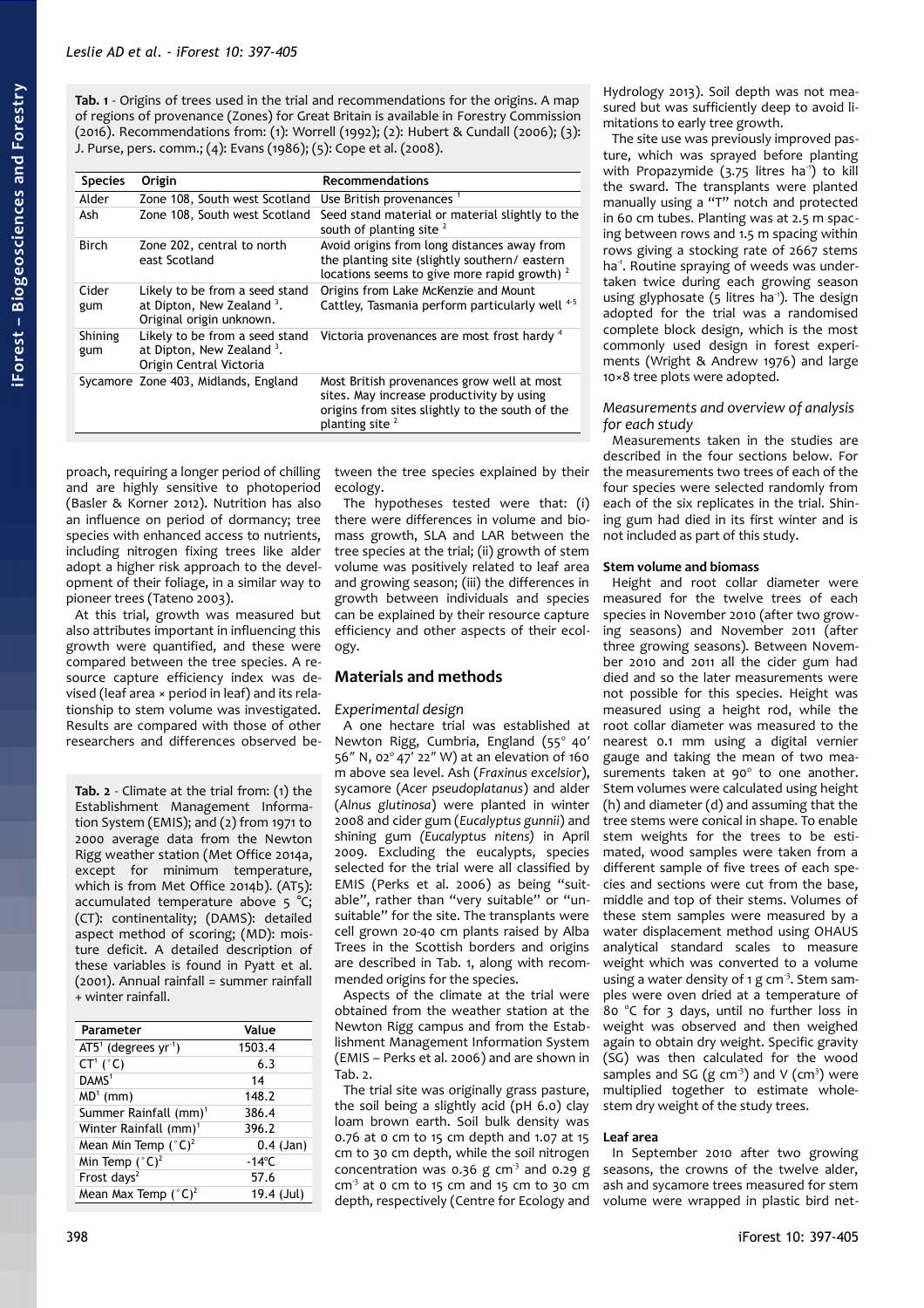<span id="page-1-0"></span>**Tab. 1** - Origins of trees used in the trial and recommendations for the origins. A map of regions of provenance (Zones) for Great Britain is available in Forestry Commission (2016). Recommendations from: (1): Worrell (1992); (2): Hubert & Cundall (2006); (3): J. Purse, pers. comm.; (4): Evans (1986); (5): Cope et al. (2008).

| <b>Species</b> | Origin                                                                                              | <b>Recommendations</b>                                                                                                                                                   |
|----------------|-----------------------------------------------------------------------------------------------------|--------------------------------------------------------------------------------------------------------------------------------------------------------------------------|
| Alder          | Zone 108, South west Scotland                                                                       | Use British provenances <sup>1</sup>                                                                                                                                     |
| Ash            | Zone 108, South west Scotland                                                                       | Seed stand material or material slightly to the<br>south of planting site $2$                                                                                            |
| <b>Birch</b>   | Zone 202, central to north<br>east Scotland                                                         | Avoid origins from long distances away from<br>the planting site (slightly southern/eastern)<br>locations seems to give more rapid growth) $2$                           |
| Cider<br>gum   | Likely to be from a seed stand<br>at Dipton, New Zealand <sup>3</sup> .<br>Original origin unknown. | Origins from Lake McKenzie and Mount<br>Cattley, Tasmania perform particularly well 45                                                                                   |
| Shining<br>gum | Likely to be from a seed stand<br>at Dipton, New Zealand <sup>3</sup> .<br>Origin Central Victoria  | Victoria provenances are most frost hardy 4                                                                                                                              |
|                | Sycamore Zone 403, Midlands, England                                                                | Most British provenances grow well at most<br>sites. May increase productivity by using<br>origins from sites slightly to the south of the<br>planting site <sup>2</sup> |

proach, requiring a longer period of chilling and are highly sensitive to photoperiod (Basler & Korner 2012). Nutrition has also an influence on period of dormancy; tree species with enhanced access to nutrients, including nitrogen fixing trees like alder adopt a higher risk approach to the development of their foliage, in a similar way to pioneer trees (Tateno 2003).

At this trial, growth was measured but also attributes important in influencing this growth were quantified, and these were compared between the tree species. A resource capture efficiency index was devised (leaf area × period in leaf) and its relationship to stem volume was investigated. Results are compared with those of other researchers and differences observed be-

<span id="page-1-1"></span>**Tab. 2** - Climate at the trial from: (1) the Establishment Management Information System (EMIS); and (2) from 1971 to 2000 average data from the Newton Rigg weather station (Met Office 2014a, except for minimum temperature, which is from Met Office 2014b). (AT5): accumulated temperature above 5 °C; (CT): continentality; (DAMS): detailed aspect method of scoring; (MD): moisture deficit. A detailed description of these variables is found in Pyatt et al. (2001). Annual rainfall = summer rainfall + winter rainfall.

| Parameter                         | Value           |
|-----------------------------------|-----------------|
| $AT51$ (degrees yr <sup>1</sup> ) | 1503.4          |
| $CT^1(^{\circ}C)$                 | 6.3             |
| DAMS <sup>1</sup>                 | 14              |
| $MD1$ (mm)                        | 148.2           |
| Summer Rainfall (mm) <sup>1</sup> | 386.4           |
| Winter Rainfall (mm) <sup>1</sup> | 396.2           |
| Mean Min Temp $({}^{\circ}C)^2$   | $0.4$ (Jan)     |
| Min Temp $(^{\circ}C)^2$          | $-14^{\circ}$ C |
| Frost days <sup>2</sup>           | 57.6            |
| Mean Max Temp $({}^{\circ}C)^2$   | 19.4 (Jul)      |

tween the tree species explained by their ecology.

The hypotheses tested were that: (i) there were differences in volume and biomass growth, SLA and LAR between the tree species at the trial; (ii) growth of stem volume was positively related to leaf area and growing season; (iii) the differences in growth between individuals and species can be explained by their resource capture efficiency and other aspects of their ecology.

# **Materials and methods**

#### *Experimental design*

A one hectare trial was established at Newton Rigg, Cumbria, England (55° 40' 56" N, 02 $^{\circ}$  47' 22" W) at an elevation of 160 m above sea level. Ash (*Fraxinus excelsior*), sycamore (*Acer pseudoplatanus*) and alder (*Alnus glutinosa*) were planted in winter 2008 and cider gum (*Eucalyptus gunnii*) and shining gum *(Eucalyptus nitens)* in April 2009. Excluding the eucalypts, species selected for the trial were all classified by EMIS (Perks et al. 2006) as being "suitable", rather than "very suitable" or "unsuitable" for the site. The transplants were cell grown 20-40 cm plants raised by Alba Trees in the Scottish borders and origins are described in [Tab. 1,](#page-1-0) along with recommended origins for the species.

Aspects of the climate at the trial were obtained from the weather station at the Newton Rigg campus and from the Establishment Management Information System (EMIS – Perks et al. 2006) and are shown in [Tab. 2.](#page-1-1)

The trial site was originally grass pasture, the soil being a slightly acid (pH 6.0) clay loam brown earth. Soil bulk density was 0.76 at 0 cm to 15 cm depth and 1.07 at 15 cm to 30 cm depth, while the soil nitrogen concentration was 0.36 g cm<sup>3</sup> and 0.29 g  $cm<sup>3</sup>$  at 0 cm to 15 cm and 15 cm to 30 cm depth, respectively (Centre for Ecology and

Hydrology 2013). Soil depth was not measured but was sufficiently deep to avoid limitations to early tree growth.

The site use was previously improved pasture, which was sprayed before planting with Propazymide  $(3.75$  litres ha<sup>1</sup>) to kill the sward. The transplants were planted manually using a "T" notch and protected in 60 cm tubes. Planting was at 2.5 m spacing between rows and 1.5 m spacing within rows giving a stocking rate of 2667 stems ha<sup>-1</sup>. Routine spraying of weeds was undertaken twice during each growing season using glyphosate  $(5 \text{ litres} \text{ ha}^3)$ . The design adopted for the trial was a randomised complete block design, which is the most commonly used design in forest experiments (Wright & Andrew 1976) and large 10×8 tree plots were adopted.

### *Measurements and overview of analysis for each study*

Measurements taken in the studies are described in the four sections below. For the measurements two trees of each of the four species were selected randomly from each of the six replicates in the trial. Shining gum had died in its first winter and is not included as part of this study.

## **Stem volume and biomass**

Height and root collar diameter were measured for the twelve trees of each species in November 2010 (after two growing seasons) and November 2011 (after three growing seasons). Between November 2010 and 2011 all the cider gum had died and so the later measurements were not possible for this species. Height was measured using a height rod, while the root collar diameter was measured to the nearest 0.1 mm using a digital vernier gauge and taking the mean of two measurements taken at  $90^\circ$  to one another. Stem volumes were calculated using height (h) and diameter (d) and assuming that the tree stems were conical in shape. To enable stem weights for the trees to be estimated, wood samples were taken from a different sample of five trees of each species and sections were cut from the base, middle and top of their stems. Volumes of these stem samples were measured by a water displacement method using OHAUS analytical standard scales to measure weight which was converted to a volume using a water density of  $1 g cm<sup>3</sup>$ . Stem samples were oven dried at a temperature of 80 °C for 3 days, until no further loss in weight was observed and then weighed again to obtain dry weight. Specific gravity (SG) was then calculated for the wood samples and SG  $(g \text{ cm}^3)$  and V  $(\text{ cm}^3)$  were multiplied together to estimate wholestem dry weight of the study trees.

#### **Leaf area**

In September 2010 after two growing seasons, the crowns of the twelve alder, ash and sycamore trees measured for stem volume were wrapped in plastic bird net-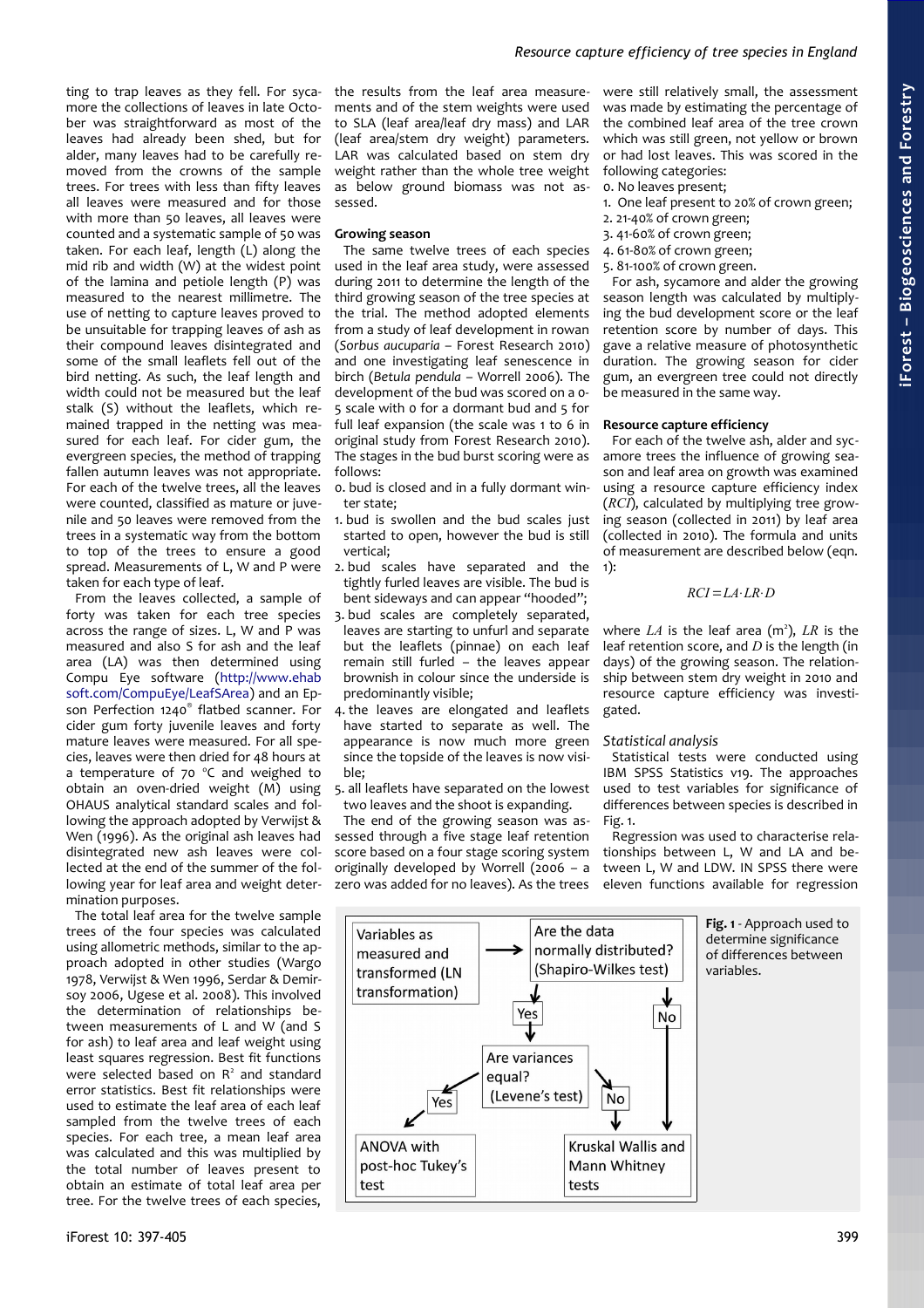ting to trap leaves as they fell. For sycamore the collections of leaves in late October was straightforward as most of the leaves had already been shed, but for alder, many leaves had to be carefully removed from the crowns of the sample trees. For trees with less than fifty leaves all leaves were measured and for those with more than 50 leaves, all leaves were counted and a systematic sample of 50 was taken. For each leaf, length (L) along the mid rib and width (W) at the widest point of the lamina and petiole length (P) was measured to the nearest millimetre. The use of netting to capture leaves proved to be unsuitable for trapping leaves of ash as their compound leaves disintegrated and some of the small leaflets fell out of the bird netting. As such, the leaf length and width could not be measured but the leaf stalk (S) without the leaflets, which remained trapped in the netting was measured for each leaf. For cider gum, the evergreen species, the method of trapping fallen autumn leaves was not appropriate. For each of the twelve trees, all the leaves were counted, classified as mature or juvenile and 50 leaves were removed from the trees in a systematic way from the bottom to top of the trees to ensure a good spread. Measurements of L, W and P were taken for each type of leaf.

From the leaves collected, a sample of forty was taken for each tree species across the range of sizes. L, W and P was measured and also S for ash and the leaf area (LA) was then determined using Compu Eye software [\(http://www.ehab](http://www.ehabsoft.com/CompuEye/LeafSArea/) [soft.com/CompuEye/LeafSArea\)](http://www.ehabsoft.com/CompuEye/LeafSArea/) and an Epson Perfection 1240® flatbed scanner. For cider gum forty juvenile leaves and forty mature leaves were measured. For all species, leaves were then dried for 48 hours at a temperature of  $70^{\circ}$ C and weighed to obtain an oven-dried weight  $(M)$  using OHAUS analytical standard scales and following the approach adopted by Verwijst & Wen (1996). As the original ash leaves had disintegrated new ash leaves were collected at the end of the summer of the following year for leaf area and weight determination purposes.

The total leaf area for the twelve sample trees of the four species was calculated using allometric methods, similar to the approach adopted in other studies (Wargo 1978, Verwijst & Wen 1996, Serdar & Demirsoy 2006, Ugese et al. 2008). This involved the determination of relationships between measurements of L and W (and S for ash) to leaf area and leaf weight using least squares regression. Best fit functions were selected based on R<sup>2</sup> and standard error statistics. Best fit relationships were used to estimate the leaf area of each leaf sampled from the twelve trees of each species. For each tree, a mean leaf area was calculated and this was multiplied by the total number of leaves present to obtain an estimate of total leaf area per tree. For the twelve trees of each species,

the results from the leaf area measurements and of the stem weights were used to SLA (leaf area/leaf dry mass) and LAR (leaf area/stem dry weight) parameters. LAR was calculated based on stem dry weight rather than the whole tree weight as below ground biomass was not assessed.

#### **Growing season**

The same twelve trees of each species used in the leaf area study, were assessed during 2011 to determine the length of the third growing season of the tree species at the trial. The method adopted elements from a study of leaf development in rowan (*Sorbus aucuparia* – Forest Research 2010) and one investigating leaf senescence in birch (*Betula pendula* – Worrell 2006). The development of the bud was scored on a 0- 5 scale with 0 for a dormant bud and 5 for full leaf expansion (the scale was 1 to 6 in original study from Forest Research 2010). The stages in the bud burst scoring were as follows:

- 0. bud is closed and in a fully dormant winter state;
- 1. bud is swollen and the bud scales just started to open, however the bud is still vertical;
- 2. bud scales have separated and the tightly furled leaves are visible. The bud is bent sideways and can appear "hooded";
- 3. bud scales are completely separated, leaves are starting to unfurl and separate but the leaflets (pinnae) on each leaf remain still furled – the leaves appear brownish in colour since the underside is predominantly visible;
- 4. the leaves are elongated and leaflets have started to separate as well. The appearance is now much more green since the topside of the leaves is now visible;
- 5. all leaflets have separated on the lowest two leaves and the shoot is expanding.

The end of the growing season was assessed through a five stage leaf retention score based on a four stage scoring system originally developed by Worrell (2006 – a zero was added for no leaves). As the trees

were still relatively small, the assessment was made by estimating the percentage of the combined leaf area of the tree crown which was still green, not yellow or brown or had lost leaves. This was scored in the following categories:

- 0. No leaves present;
- 1. One leaf present to 20% of crown green;
- 2. 21-40% of crown green;
- 3. 41-60% of crown green;
- 4. 61-80% of crown green;
- 5. 81-100% of crown green.

For ash, sycamore and alder the growing season length was calculated by multiplying the bud development score or the leaf retention score by number of days. This gave a relative measure of photosynthetic duration. The growing season for cider gum, an evergreen tree could not directly be measured in the same way.

#### **Resource capture efficiency**

For each of the twelve ash, alder and sycamore trees the influence of growing season and leaf area on growth was examined using a resource capture efficiency index (*RCI*), calculated by multiplying tree growing season (collected in 2011) by leaf area (collected in 2010). The formula and units of measurement are described below (eqn. 1):

$$
RCI = LA·LR·D
$$

where  $LA$  is the leaf area ( $m^2$ ),  $LR$  is the leaf retention score, and *D* is the length (in days) of the growing season. The relationship between stem dry weight in 2010 and resource capture efficiency was investigated.

#### *Statistical analysis*

Statistical tests were conducted using IBM SPSS Statistics v19. The approaches used to test variables for significance of differences between species is described in [Fig. 1.](#page-2-0)

<span id="page-2-0"></span>Regression was used to characterise relationships between L, W and LA and between L, W and LDW. IN SPSS there were eleven functions available for regression

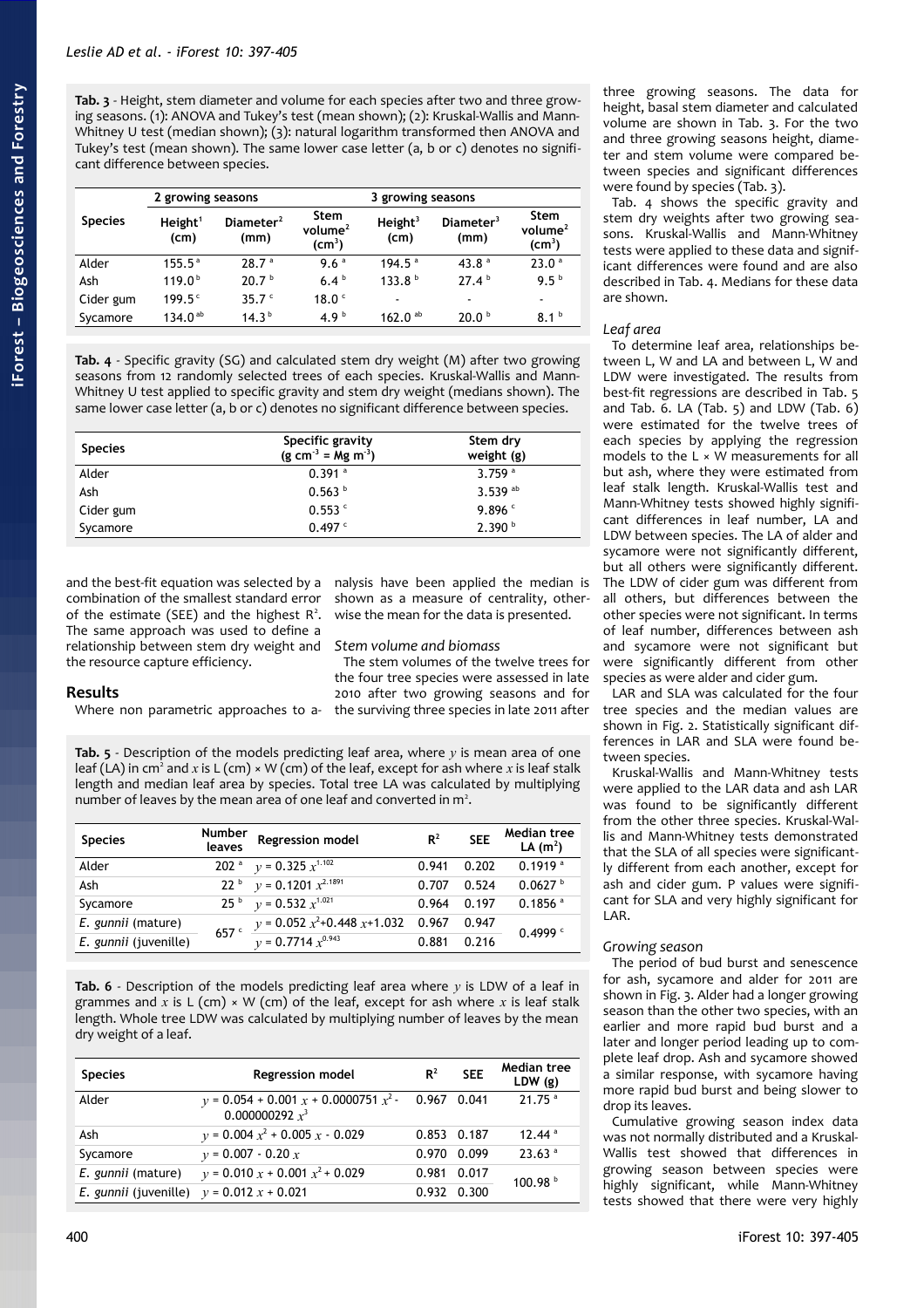<span id="page-3-3"></span>**Tab. 3** - Height, stem diameter and volume for each species after two and three growing seasons. (1): ANOVA and Tukey's test (mean shown); (2): Kruskal-Wallis and Mann-Whitney U test (median shown); (3): natural logarithm transformed then ANOVA and Tukey's test (mean shown). The same lower case letter (a, b or c) denotes no significant difference between species.

|                | 2 growing seasons           |                      |                                                  |                             |                               |                                          |
|----------------|-----------------------------|----------------------|--------------------------------------------------|-----------------------------|-------------------------------|------------------------------------------|
| <b>Species</b> | Height <sup>1</sup><br>(cm) | Diameter $2$<br>(mm) | Stem<br>volume <sup>2</sup><br>$\textsf{(cm}^3)$ | Height <sup>3</sup><br>(cm) | Diameter <sup>3</sup><br>(mm) | Stem<br>volume $^2$<br>$\textsf{(cm}^3)$ |
| Alder          | $155.5^{\circ}$             | 28.7 <sup>a</sup>    | 9.6 <sup>a</sup>                                 | 194.5 <sup>a</sup>          | 43.8 $a$                      | 23.0 <sup>a</sup>                        |
| Ash            | 119.0 <sup>b</sup>          | 20.7 <sup>b</sup>    | 6.4 <sup>b</sup>                                 | 133.8 <sup>b</sup>          | 27.4 <sup>b</sup>             | 9.5 <sup>b</sup>                         |
| Cider gum      | $199.5^{\circ}$             | 35.7 $c$             | 18.0 <sup>c</sup>                                | $\overline{\phantom{a}}$    | $\blacksquare$                |                                          |
| Sycamore       | 134.0 <sup>ab</sup>         | 14.3 <sup>b</sup>    | 4.9 $b$                                          | 162.0 $^{ab}$               | 20.0 <sup>b</sup>             | 8.1 <sup>b</sup>                         |

<span id="page-3-2"></span>**Tab. 4** - Specific gravity (SG) and calculated stem dry weight (M) after two growing seasons from 12 randomly selected trees of each species. Kruskal-Wallis and Mann-Whitney U test applied to specific gravity and stem dry weight (medians shown). The same lower case letter (a, b or c) denotes no significant difference between species.

| <b>Species</b> | Specific gravity<br>$(g cm^{-3} = Mg m^{-3})$ | Stem dry<br>weight (g) |  |  |
|----------------|-----------------------------------------------|------------------------|--|--|
| Alder          | $0.391$ <sup>a</sup>                          | $3.759$ <sup>a</sup>   |  |  |
| Ash            | 0.563 <sup>b</sup>                            | 3.539 $^{ab}$          |  |  |
| Cider gum      | $0.553$ $\degree$                             | 9.896 $C$              |  |  |
| Sycamore       | $0.497$ $\degree$                             | 2.390 <sup>b</sup>     |  |  |

and the best-fit equation was selected by a nalysis have been applied the median is combination of the smallest standard error of the estimate (SEE) and the highest  $R^2$ . The same approach was used to define a relationship between stem dry weight and the resource capture efficiency.

shown as a measure of centrality, otherwise the mean for the data is presented.

## *Stem volume and biomass*

The stem volumes of the twelve trees for the four tree species were assessed in late 2010 after two growing seasons and for the surviving three species in late 2011 after

# **Results**

Where non parametric approaches to a-

<span id="page-3-1"></span>**Tab. 5** - Description of the models predicting leaf area, where *y* is mean area of one leaf (LA) in cm<sup>2</sup> and *x* is L (cm) × W (cm) of the leaf, except for ash where *x* is leaf stalk length and median leaf area by species. Total tree LA was calculated by multiplying number of leaves by the mean area of one leaf and converted in  $m<sup>2</sup>$ .

| <b>Species</b>        | Number<br>leaves | Regression model                       | $R^2$ | <b>SEE</b> | <b>Median tree</b><br>LA $(m^2)$ |
|-----------------------|------------------|----------------------------------------|-------|------------|----------------------------------|
| Alder                 |                  | 202 <sup>a</sup> $y = 0.325 x^{1.102}$ | 0.941 | 0.202      | $0.1919$ <sup>a</sup>            |
| Ash                   |                  | 22 b $y = 0.1201 x^{2.1891}$           | 0.707 | 0.524      | 0.0627                           |
| Sycamore              |                  | 25 $\frac{6}{v}$ v = 0.532 $x^{1.021}$ | 0.964 | 0.197      | $0.1856$ <sup>a</sup>            |
| E. gunnii (mature)    | 657 <sup>c</sup> | $y = 0.052 x^2+0.448 x+1.032$          | 0.967 | 0.947      | 0.4999c                          |
| E. gunnii (juvenille) |                  | $v = 0.7714 x^{0.943}$                 | 0.881 | 0.216      |                                  |

<span id="page-3-0"></span>**Tab. 6** - Description of the models predicting leaf area where *y* is LDW of a leaf in grammes and *x* is L (cm) × W (cm) of the leaf, except for ash where *x* is leaf stalk length. Whole tree LDW was calculated by multiplying number of leaves by the mean dry weight of a leaf.

| <b>Species</b>                                     | <b>Regression model</b>                                                  | $R^2$       | <b>SEE</b> | Median tree<br>LDW(g) |
|----------------------------------------------------|--------------------------------------------------------------------------|-------------|------------|-----------------------|
| Alder                                              | $v = 0.054 + 0.001 x + 0.0000751 x^2 - 0.967 0.041$<br>0.000000292 $x^3$ |             |            | $21.75$ <sup>a</sup>  |
| Ash                                                | $y = 0.004 x^2 + 0.005 x - 0.029$                                        | 0.853 0.187 |            | $12.44$ <sup>a</sup>  |
| Sycamore                                           | $v = 0.007 - 0.20 x$                                                     | 0.970 0.099 |            | 23.63 <sup>a</sup>    |
| E. gunnii (mature)                                 | $v = 0.010 x + 0.001 x^2 + 0.029$                                        | 0.981 0.017 |            | 100.98 <sup>b</sup>   |
| <i>E. gunnii</i> (juvenille) $v = 0.012 x + 0.021$ |                                                                          | 0.932 0.300 |            |                       |

three growing seasons. The data for height, basal stem diameter and calculated volume are shown in [Tab. 3.](#page-3-3) For the two and three growing seasons height, diameter and stem volume were compared between species and significant differences were found by species [\(Tab. 3\)](#page-3-3).

[Tab. 4](#page-3-2) shows the specific gravity and stem dry weights after two growing seasons. Kruskal-Wallis and Mann-Whitney tests were applied to these data and significant differences were found and are also described in [Tab. 4.](#page-3-2) Medians for these data are shown.

#### *Leaf area*

To determine leaf area, relationships between L, W and LA and between L, W and LDW were investigated. The results from best-fit regressions are described in [Tab. 5](#page-3-1) and [Tab. 6.](#page-3-0) LA [\(Tab. 5\)](#page-3-1) and LDW [\(Tab. 6\)](#page-3-0) were estimated for the twelve trees of each species by applying the regression models to the  $L \times W$  measurements for all but ash, where they were estimated from leaf stalk length. Kruskal-Wallis test and Mann-Whitney tests showed highly significant differences in leaf number, LA and LDW between species. The LA of alder and sycamore were not significantly different, but all others were significantly different. The LDW of cider gum was different from all others, but differences between the other species were not significant. In terms of leaf number, differences between ash and sycamore were not significant but were significantly different from other species as were alder and cider gum.

LAR and SLA was calculated for the four tree species and the median values are shown in [Fig. 2.](#page-4-1) Statistically significant differences in LAR and SLA were found between species.

Kruskal-Wallis and Mann-Whitney tests were applied to the LAR data and ash LAR was found to be significantly different from the other three species. Kruskal-Wallis and Mann-Whitney tests demonstrated that the SLA of all species were significantly different from each another, except for ash and cider gum. P values were significant for SLA and very highly significant for LAR.

# *Growing season*

The period of bud burst and senescence for ash, sycamore and alder for 2011 are shown in [Fig. 3.](#page-4-0) Alder had a longer growing season than the other two species, with an earlier and more rapid bud burst and a later and longer period leading up to complete leaf drop. Ash and sycamore showed a similar response, with sycamore having more rapid bud burst and being slower to drop its leaves.

Cumulative growing season index data was not normally distributed and a Kruskal-Wallis test showed that differences in growing season between species were highly significant, while Mann-Whitney tests showed that there were very highly

#### 400 iForest 10: 397-405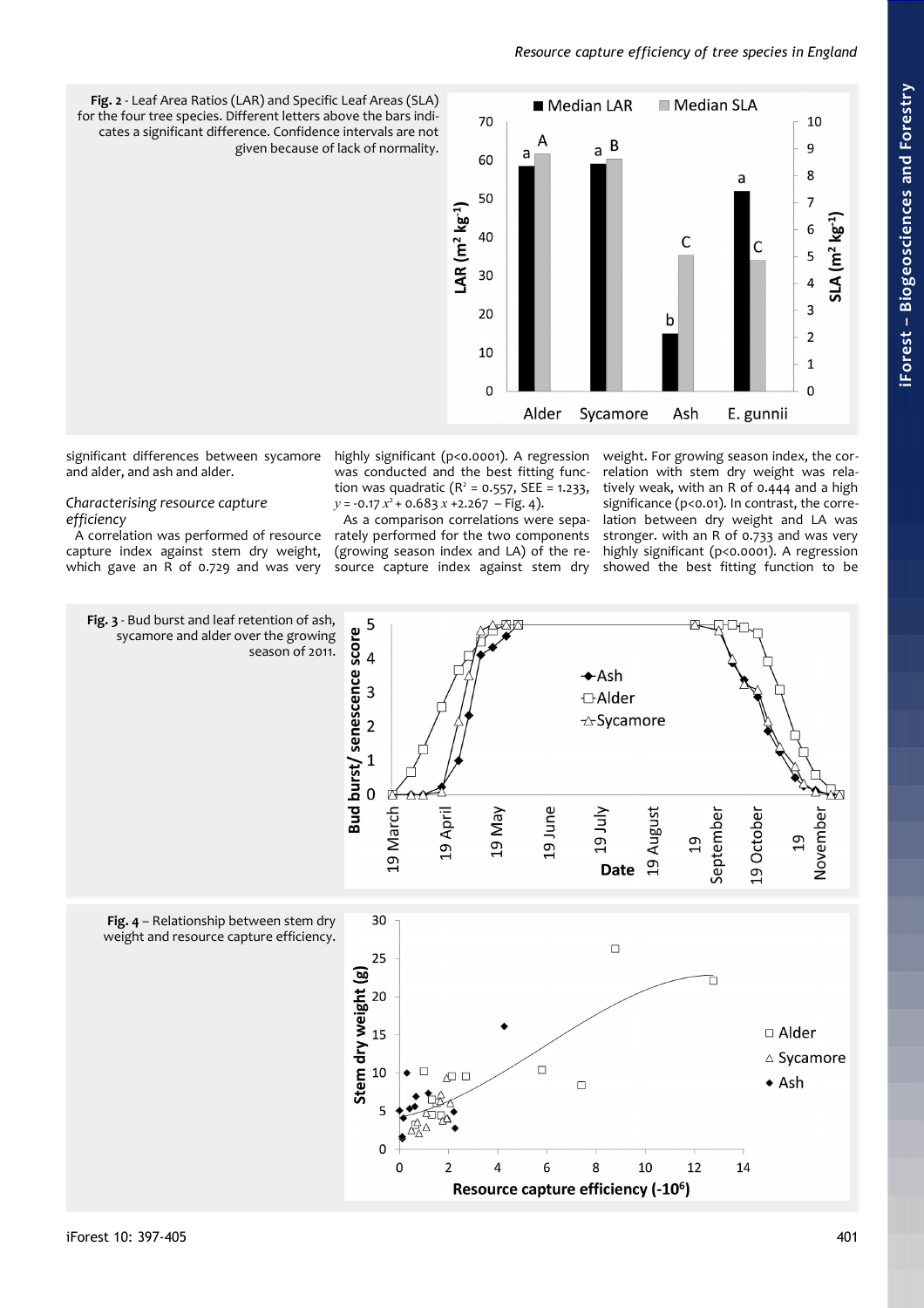# *Resource capture efficiency of tree species in England*



<span id="page-4-1"></span>**Fig. 2** - Leaf Area Ratios (LAR) and Specific Leaf Areas (SLA) for the four tree species. Different letters above the bars indicates a significant difference. Confidence intervals are not given because of lack of normality.

significant differences between sycamore and alder, and ash and alder.

*Characterising resource capture efficiency*

A correlation was performed of resource capture index against stem dry weight, which gave an R of 0.729 and was very highly significant (p<0.0001). A regression was conducted and the best fitting function was quadratic  $(R^2 = 0.557, SEE = 1.233,$  $y = -0.17 x^2 + 0.683 x + 2.267 - Fig. 4$ ).

As a comparison correlations were separately performed for the two components (growing season index and LA) of the resource capture index against stem dry

weight. For growing season index, the correlation with stem dry weight was relatively weak, with an R of 0.444 and a high significance (p<0.01). In contrast, the correlation between dry weight and LA was stronger. with an R of 0.733 and was very highly significant (p<0.0001). A regression showed the best fitting function to be

<span id="page-4-2"></span><span id="page-4-0"></span>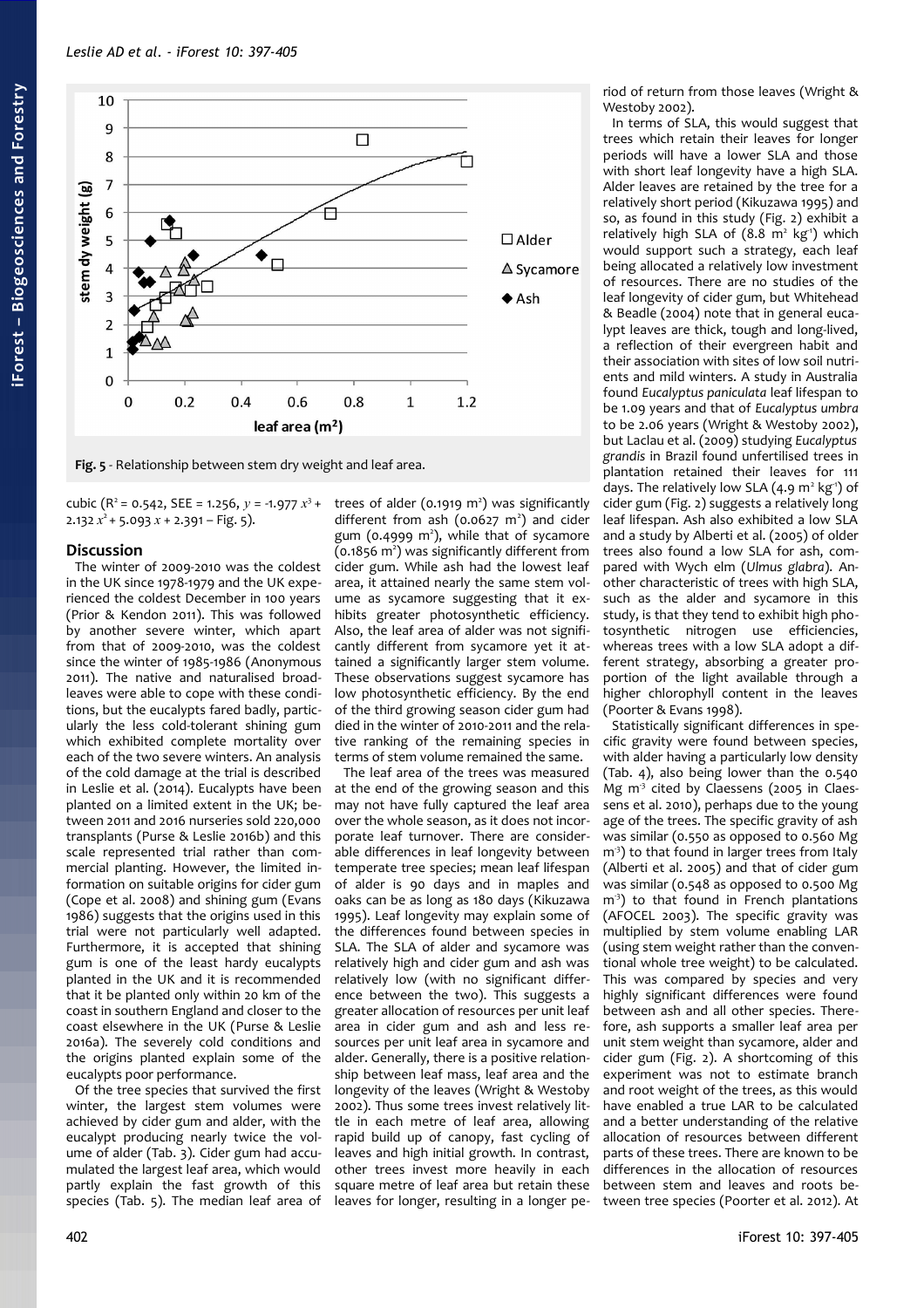

<span id="page-5-0"></span>**Fig. 5** - Relationship between stem dry weight and leaf area.

cubic (R<sup>2</sup> = 0.542, SEE = 1.256,  $y$  = -1.977  $x^3$  +  $2.132 x^2 + 5.093 x + 2.391 - Fig. 5$ ).

## **Discussion**

The winter of 2009-2010 was the coldest in the UK since 1978-1979 and the UK experienced the coldest December in 100 years (Prior & Kendon 2011). This was followed by another severe winter, which apart from that of 2009-2010, was the coldest since the winter of 1985-1986 (Anonymous 2011). The native and naturalised broadleaves were able to cope with these conditions, but the eucalypts fared badly, particularly the less cold-tolerant shining gum which exhibited complete mortality over each of the two severe winters. An analysis of the cold damage at the trial is described in Leslie et al. (2014). Eucalypts have been planted on a limited extent in the UK; between 2011 and 2016 nurseries sold 220,000 transplants (Purse & Leslie 2016b) and this scale represented trial rather than commercial planting. However, the limited information on suitable origins for cider gum (Cope et al. 2008) and shining gum (Evans 1986) suggests that the origins used in this trial were not particularly well adapted. Furthermore, it is accepted that shining gum is one of the least hardy eucalypts planted in the UK and it is recommended that it be planted only within 20 km of the coast in southern England and closer to the coast elsewhere in the UK (Purse & Leslie 2016a). The severely cold conditions and the origins planted explain some of the eucalypts poor performance.

Of the tree species that survived the first winter, the largest stem volumes were achieved by cider gum and alder, with the eucalypt producing nearly twice the volume of alder [\(Tab. 3\)](#page-3-3). Cider gum had accumulated the largest leaf area, which would partly explain the fast growth of this species [\(Tab. 5\)](#page-3-1). The median leaf area of

trees of alder  $(0.1919 \text{ m}^2)$  was significantly different from ash  $(0.0627 \text{ m}^2)$  and cider gum (0.4999 m<sup>2</sup>), while that of sycamore (0.1856 m<sup>2</sup>) was significantly different from cider gum. While ash had the lowest leaf area, it attained nearly the same stem volume as sycamore suggesting that it exhibits greater photosynthetic efficiency. Also, the leaf area of alder was not significantly different from sycamore yet it attained a significantly larger stem volume. These observations suggest sycamore has low photosynthetic efficiency. By the end of the third growing season cider gum had died in the winter of 2010-2011 and the relative ranking of the remaining species in terms of stem volume remained the same.

The leaf area of the trees was measured at the end of the growing season and this may not have fully captured the leaf area over the whole season, as it does not incorporate leaf turnover. There are considerable differences in leaf longevity between temperate tree species; mean leaf lifespan of alder is 90 days and in maples and oaks can be as long as 180 days (Kikuzawa 1995). Leaf longevity may explain some of the differences found between species in SLA. The SLA of alder and sycamore was relatively high and cider gum and ash was relatively low (with no significant difference between the two). This suggests a greater allocation of resources per unit leaf area in cider gum and ash and less resources per unit leaf area in sycamore and alder. Generally, there is a positive relationship between leaf mass, leaf area and the longevity of the leaves (Wright & Westoby 2002). Thus some trees invest relatively little in each metre of leaf area, allowing rapid build up of canopy, fast cycling of leaves and high initial growth. In contrast, other trees invest more heavily in each square metre of leaf area but retain these leaves for longer, resulting in a longer period of return from those leaves (Wright & Westoby 2002).

In terms of SLA, this would suggest that trees which retain their leaves for longer periods will have a lower SLA and those with short leaf longevity have a high SLA. Alder leaves are retained by the tree for a relatively short period (Kikuzawa 1995) and so, as found in this study [\(Fig. 2\)](#page-4-1) exhibit a relatively high SLA of (8.8 m<sup>2</sup> kg<sup>1</sup>) which would support such a strategy, each leaf being allocated a relatively low investment of resources. There are no studies of the leaf longevity of cider gum, but Whitehead & Beadle (2004) note that in general eucalypt leaves are thick, tough and long-lived, a reflection of their evergreen habit and their association with sites of low soil nutrients and mild winters. A study in Australia found *Eucalyptus paniculata* leaf lifespan to be 1.09 years and that of *Eucalyptus umbra* to be 2.06 years (Wright & Westoby 2002), but Laclau et al. (2009) studying *Eucalyptus grandis* in Brazil found unfertilised trees in plantation retained their leaves for 111 days. The relatively low SLA  $(4.9 \text{ m}^2 \text{ kg}^1)$  of cider gum [\(Fig. 2\)](#page-4-1) suggests a relatively long leaf lifespan. Ash also exhibited a low SLA and a study by Alberti et al. (2005) of older trees also found a low SLA for ash, compared with Wych elm (*Ulmus glabra*). Another characteristic of trees with high SLA, such as the alder and sycamore in this study, is that they tend to exhibit high photosynthetic nitrogen use efficiencies, whereas trees with a low SLA adopt a different strategy, absorbing a greater proportion of the light available through a higher chlorophyll content in the leaves (Poorter & Evans 1998).

Statistically significant differences in specific gravity were found between species, with alder having a particularly low density [\(Tab. 4\)](#page-3-2), also being lower than the 0.540 Mg  $m<sup>3</sup>$  cited by Claessens (2005 in Claessens et al. 2010), perhaps due to the young age of the trees. The specific gravity of ash was similar (0.550 as opposed to 0.560 Mg  $m<sup>3</sup>$ ) to that found in larger trees from Italy (Alberti et al. 2005) and that of cider gum was similar (0.548 as opposed to 0.500 Mg  $m<sup>3</sup>$ ) to that found in French plantations (AFOCEL 2003). The specific gravity was multiplied by stem volume enabling LAR (using stem weight rather than the conventional whole tree weight) to be calculated. This was compared by species and very highly significant differences were found between ash and all other species. Therefore, ash supports a smaller leaf area per unit stem weight than sycamore, alder and cider gum [\(Fig. 2\)](#page-4-1). A shortcoming of this experiment was not to estimate branch and root weight of the trees, as this would have enabled a true LAR to be calculated and a better understanding of the relative allocation of resources between different parts of these trees. There are known to be differences in the allocation of resources between stem and leaves and roots between tree species (Poorter et al. 2012). At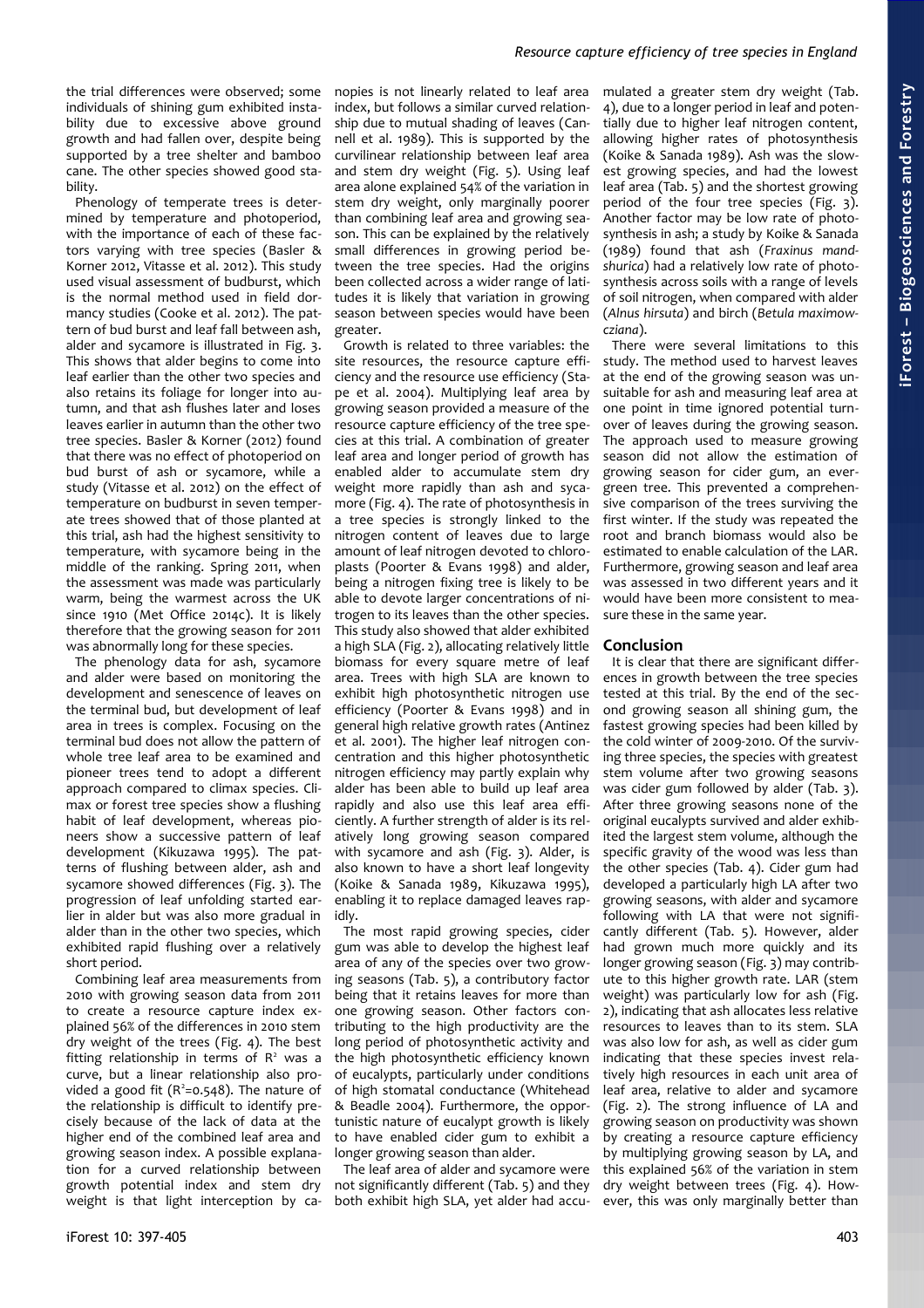# *Resource capture efficiency of tree species in England*

the trial differences were observed; some individuals of shining gum exhibited instability due to excessive above ground growth and had fallen over, despite being supported by a tree shelter and bamboo cane. The other species showed good stability.

Phenology of temperate trees is determined by temperature and photoperiod, with the importance of each of these factors varying with tree species (Basler & Korner 2012, Vitasse et al. 2012). This study used visual assessment of budburst, which is the normal method used in field dormancy studies (Cooke et al. 2012). The pattern of bud burst and leaf fall between ash, alder and sycamore is illustrated in [Fig. 3.](#page-4-0) This shows that alder begins to come into leaf earlier than the other two species and also retains its foliage for longer into autumn, and that ash flushes later and loses leaves earlier in autumn than the other two tree species. Basler & Korner (2012) found that there was no effect of photoperiod on bud burst of ash or sycamore, while a study (Vitasse et al. 2012) on the effect of temperature on budburst in seven temperate trees showed that of those planted at this trial, ash had the highest sensitivity to temperature, with sycamore being in the middle of the ranking. Spring 2011, when the assessment was made was particularly warm, being the warmest across the UK since 1910 (Met Office 2014c). It is likely therefore that the growing season for 2011 was abnormally long for these species.

The phenology data for ash, sycamore and alder were based on monitoring the development and senescence of leaves on the terminal bud, but development of leaf area in trees is complex. Focusing on the terminal bud does not allow the pattern of whole tree leaf area to be examined and pioneer trees tend to adopt a different approach compared to climax species. Climax or forest tree species show a flushing habit of leaf development, whereas pioneers show a successive pattern of leaf development (Kikuzawa 1995). The patterns of flushing between alder, ash and sycamore showed differences [\(Fig. 3\)](#page-4-0). The progression of leaf unfolding started earlier in alder but was also more gradual in alder than in the other two species, which exhibited rapid flushing over a relatively short period.

Combining leaf area measurements from 2010 with growing season data from 2011 to create a resource capture index explained 56% of the differences in 2010 stem dry weight of the trees [\(Fig. 4\)](#page-4-2). The best fitting relationship in terms of  $R<sup>2</sup>$  was a curve, but a linear relationship also provided a good fit  $(R^2=0.548)$ . The nature of the relationship is difficult to identify precisely because of the lack of data at the higher end of the combined leaf area and growing season index. A possible explanation for a curved relationship between growth potential index and stem dry weight is that light interception by ca-

nopies is not linearly related to leaf area index, but follows a similar curved relationship due to mutual shading of leaves (Cannell et al. 1989). This is supported by the curvilinear relationship between leaf area and stem dry weight [\(Fig. 5\)](#page-5-0). Using leaf area alone explained 54% of the variation in stem dry weight, only marginally poorer than combining leaf area and growing season. This can be explained by the relatively small differences in growing period between the tree species. Had the origins been collected across a wider range of latitudes it is likely that variation in growing season between species would have been greater.

Growth is related to three variables: the site resources, the resource capture efficiency and the resource use efficiency (Stape et al. 2004). Multiplying leaf area by growing season provided a measure of the resource capture efficiency of the tree species at this trial. A combination of greater leaf area and longer period of growth has enabled alder to accumulate stem dry weight more rapidly than ash and sycamore [\(Fig. 4\)](#page-4-2). The rate of photosynthesis in a tree species is strongly linked to the nitrogen content of leaves due to large amount of leaf nitrogen devoted to chloroplasts (Poorter & Evans 1998) and alder, being a nitrogen fixing tree is likely to be able to devote larger concentrations of nitrogen to its leaves than the other species. This study also showed that alder exhibited a high SLA [\(Fig. 2\)](#page-4-1), allocating relatively little biomass for every square metre of leaf area. Trees with high SLA are known to exhibit high photosynthetic nitrogen use efficiency (Poorter & Evans 1998) and in general high relative growth rates (Antinez et al. 2001). The higher leaf nitrogen concentration and this higher photosynthetic nitrogen efficiency may partly explain why alder has been able to build up leaf area rapidly and also use this leaf area efficiently. A further strength of alder is its relatively long growing season compared with sycamore and ash [\(Fig. 3\)](#page-4-0). Alder, is also known to have a short leaf longevity (Koike & Sanada 1989, Kikuzawa 1995), enabling it to replace damaged leaves rapidly.

The most rapid growing species, cider gum was able to develop the highest leaf area of any of the species over two growing seasons [\(Tab. 5\)](#page-3-1), a contributory factor being that it retains leaves for more than one growing season. Other factors contributing to the high productivity are the long period of photosynthetic activity and the high photosynthetic efficiency known of eucalypts, particularly under conditions of high stomatal conductance (Whitehead & Beadle 2004). Furthermore, the opportunistic nature of eucalypt growth is likely to have enabled cider gum to exhibit a longer growing season than alder.

The leaf area of alder and sycamore were not significantly different [\(Tab. 5\)](#page-3-1) and they both exhibit high SLA, yet alder had accumulated a greater stem dry weight [\(Tab.](#page-3-2) [4\)](#page-3-2), due to a longer period in leaf and potentially due to higher leaf nitrogen content, allowing higher rates of photosynthesis (Koike & Sanada 1989). Ash was the slowest growing species, and had the lowest leaf area [\(Tab. 5\)](#page-3-1) and the shortest growing period of the four tree species [\(Fig. 3\)](#page-4-0). Another factor may be low rate of photosynthesis in ash; a study by Koike & Sanada (1989) found that ash (*Fraxinus mandshurica*) had a relatively low rate of photosynthesis across soils with a range of levels of soil nitrogen, when compared with alder (*Alnus hirsuta*) and birch (*Betula maximowcziana*).

There were several limitations to this study. The method used to harvest leaves at the end of the growing season was unsuitable for ash and measuring leaf area at one point in time ignored potential turnover of leaves during the growing season. The approach used to measure growing season did not allow the estimation of growing season for cider gum, an evergreen tree. This prevented a comprehensive comparison of the trees surviving the first winter. If the study was repeated the root and branch biomass would also be estimated to enable calculation of the LAR. Furthermore, growing season and leaf area was assessed in two different years and it would have been more consistent to measure these in the same year.

## **Conclusion**

It is clear that there are significant differences in growth between the tree species tested at this trial. By the end of the second growing season all shining gum, the fastest growing species had been killed by the cold winter of 2009-2010. Of the surviving three species, the species with greatest stem volume after two growing seasons was cider gum followed by alder [\(Tab. 3\)](#page-3-3). After three growing seasons none of the original eucalypts survived and alder exhibited the largest stem volume, although the specific gravity of the wood was less than the other species [\(Tab. 4\)](#page-3-2). Cider gum had developed a particularly high LA after two growing seasons, with alder and sycamore following with LA that were not significantly different [\(Tab. 5\)](#page-3-1). However, alder had grown much more quickly and its longer growing season [\(Fig. 3\)](#page-4-0) may contribute to this higher growth rate. LAR (stem weight) was particularly low for ash [\(Fig.](#page-4-1) [2\)](#page-4-1), indicating that ash allocates less relative resources to leaves than to its stem. SLA was also low for ash, as well as cider gum indicating that these species invest relatively high resources in each unit area of leaf area, relative to alder and sycamore [\(Fig. 2\)](#page-4-1). The strong influence of LA and growing season on productivity was shown by creating a resource capture efficiency by multiplying growing season by LA, and this explained 56% of the variation in stem dry weight between trees [\(Fig. 4\)](#page-4-2). However, this was only marginally better than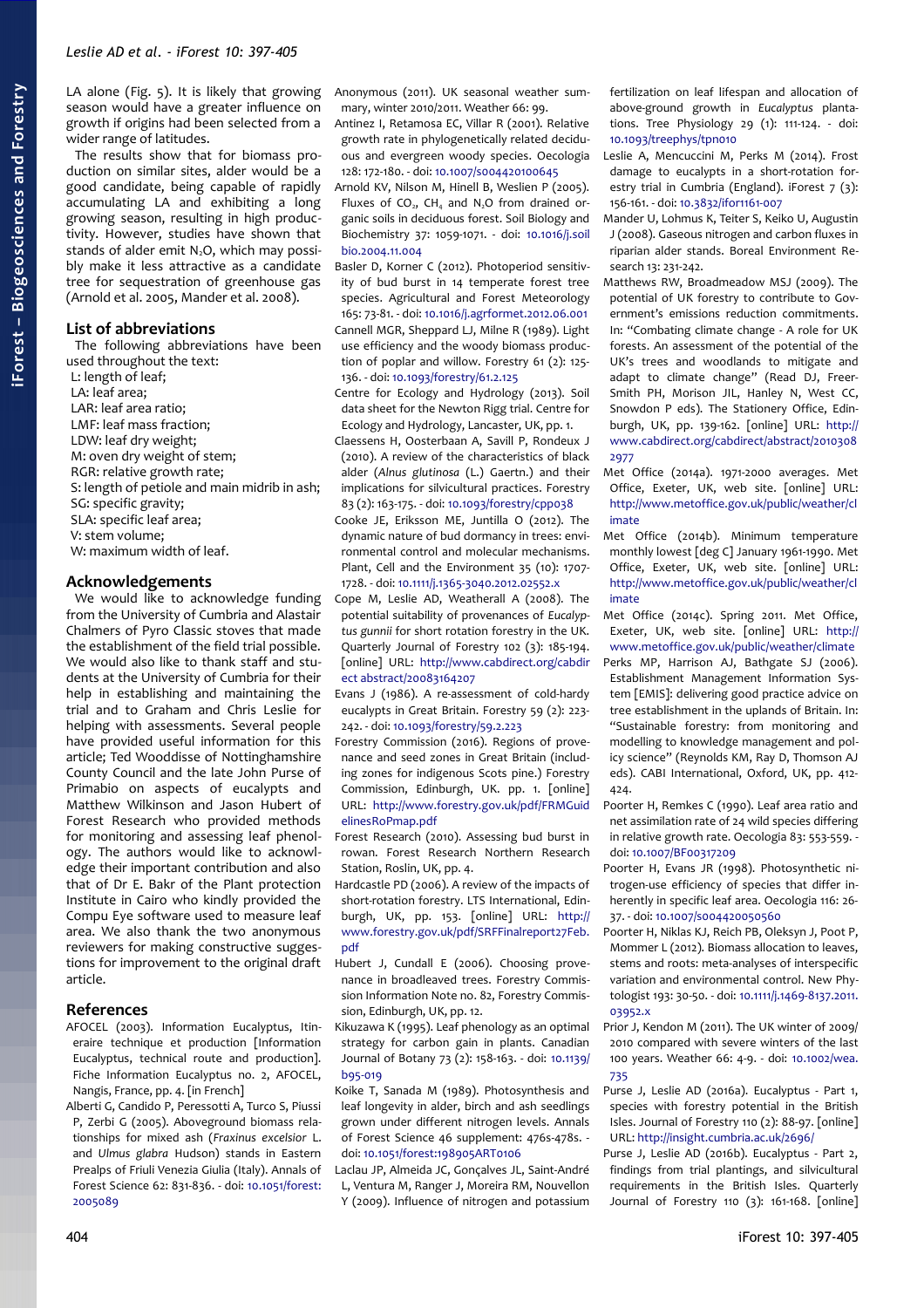LA alone [\(Fig. 5\)](#page-5-0). It is likely that growing season would have a greater influence on growth if origins had been selected from a wider range of latitudes.

The results show that for biomass production on similar sites, alder would be a good candidate, being capable of rapidly accumulating LA and exhibiting a long growing season, resulting in high productivity. However, studies have shown that stands of alder emit  $N_2O$ , which may possibly make it less attractive as a candidate tree for sequestration of greenhouse gas (Arnold et al. 2005, Mander et al. 2008).

#### **List of abbreviations**

The following abbreviations have been used throughout the text:

L: length of leaf; LA: leaf area; LAR: leaf area ratio; LMF: leaf mass fraction; LDW: leaf dry weight; M: oven dry weight of stem; RGR: relative growth rate; S: length of petiole and main midrib in ash; SG: specific gravity; SLA: specific leaf area; V: stem volume; W: maximum width of leaf.

## **Acknowledgements**

We would like to acknowledge funding from the University of Cumbria and Alastair Chalmers of Pyro Classic stoves that made the establishment of the field trial possible. We would also like to thank staff and students at the University of Cumbria for their help in establishing and maintaining the trial and to Graham and Chris Leslie for helping with assessments. Several people have provided useful information for this article; Ted Wooddisse of Nottinghamshire County Council and the late John Purse of Primabio on aspects of eucalypts and Matthew Wilkinson and Jason Hubert of Forest Research who provided methods for monitoring and assessing leaf phenology. The authors would like to acknowledge their important contribution and also that of Dr E. Bakr of the Plant protection Institute in Cairo who kindly provided the Compu Eye software used to measure leaf area. We also thank the two anonymous reviewers for making constructive suggestions for improvement to the original draft article.

#### **References**

- AFOCEL (2003). Information Eucalyptus, Itineraire technique et production [Information Eucalyptus, technical route and production]. Fiche Information Eucalyptus no. 2, AFOCEL, Nangis, France, pp. 4. [in French]
- Alberti G, Candido P, Peressotti A, Turco S, Piussi P, Zerbi G (2005). Aboveground biomass relationships for mixed ash (*Fraxinus excelsior* L. and *Ulmus glabra* Hudson) stands in Eastern Prealps of Friuli Venezia Giulia (Italy). Annals of Forest Science 62: 831-836. - doi: [10.1051/forest:](http://dx.doi.org/10.1051/forest:2005089) [2005089](http://dx.doi.org/10.1051/forest:2005089)

Anonymous (2011). UK seasonal weather summary, winter 2010/2011. Weather 66: 99.

Antinez I, Retamosa EC, Villar R (2001). Relative growth rate in phylogenetically related deciduous and evergreen woody species. Oecologia 128: 172-180. - doi: [10.1007/s004420100645](http://dx.doi.org/10.1007/s004420100645)

Arnold KV, Nilson M, Hinell B, Weslien P (2005). Fluxes of  $CO<sub>2</sub>$ , CH<sub>4</sub> and N<sub>2</sub>O from drained organic soils in deciduous forest. Soil Biology and Biochemistry 37: 1059-1071. - doi: [10.1016/j.soil](http://dx.doi.org/10.1016/j.soilbio.2004.11.004) [bio.2004.11.004](http://dx.doi.org/10.1016/j.soilbio.2004.11.004)

Basler D, Korner C (2012). Photoperiod sensitivity of bud burst in 14 temperate forest tree species. Agricultural and Forest Meteorology 165: 73-81. - doi: [10.1016/j.agrformet.2012.06.001](http://dx.doi.org/10.1016/j.agrformet.2012.06.001) Cannell MGR, Sheppard LJ, Milne R (1989). Light use efficiency and the woody biomass production of poplar and willow. Forestry 61 (2): 125- 136. - doi: [10.1093/forestry/61.2.125](http://dx.doi.org/10.1093/forestry/61.2.125)

Centre for Ecology and Hydrology (2013). Soil data sheet for the Newton Rigg trial. Centre for Ecology and Hydrology, Lancaster, UK, pp. 1.

Claessens H, Oosterbaan A, Savill P, Rondeux J (2010). A review of the characteristics of black alder (*Alnus glutinosa* (L.) Gaertn.) and their implications for silvicultural practices. Forestry 83 (2): 163-175. - doi: [10.1093/forestry/cpp038](http://dx.doi.org/10.1093/forestry/cpp038)

Cooke JE, Eriksson ME, Juntilla O (2012). The dynamic nature of bud dormancy in trees: environmental control and molecular mechanisms. Plant, Cell and the Environment 35 (10): 1707- 1728. - doi: [10.1111/j.1365-3040.2012.02552.x](http://dx.doi.org/10.1111/j.1365-3040.2012.02552.x)

Cope M, Leslie AD, Weatherall A (2008). The potential suitability of provenances of *Eucalyptus gunnii* for short rotation forestry in the UK. Quarterly Journal of Forestry 102 (3): 185-194. [online] URL: [http://www.cabdirect.org/cabdir](http://www.cabdirect.org/cabdirect/abstract/20083164207) [ect abstract/20083164207](http://www.cabdirect.org/cabdirect/abstract/20083164207)

- Evans J (1986). A re-assessment of cold-hardy eucalypts in Great Britain. Forestry 59 (2): 223- 242. - doi: [10.1093/forestry/59.2.223](http://dx.doi.org/10.1093/forestry/59.2.223)
- Forestry Commission (2016). Regions of provenance and seed zones in Great Britain (including zones for indigenous Scots pine.) Forestry Commission, Edinburgh, UK. pp. 1. [online] URL: [http://www.forestry.gov.uk/pdf/FRMGuid](http://www.forestry.gov.uk/pdf/FRMGuidelinesRoPmap.pdf/$FILE/FRMGuidelinesRoPmap.pdf) [elinesRoPmap.pdf](http://www.forestry.gov.uk/pdf/FRMGuidelinesRoPmap.pdf/$FILE/FRMGuidelinesRoPmap.pdf)
- Forest Research (2010). Assessing bud burst in rowan. Forest Research Northern Research Station, Roslin, UK, pp. 4.
- Hardcastle PD (2006). A review of the impacts of short-rotation forestry. LTS International, Edinburgh, UK, pp. 153. [online] URL: [http://](http://www.forestry.gov.uk/pdf/SRFFinalreport27Feb.pdf/$FILE/SRFFinalreport27Feb.pdf) [www.forestry.gov.uk/pdf/SRFFinalreport27Feb.](http://www.forestry.gov.uk/pdf/SRFFinalreport27Feb.pdf/$FILE/SRFFinalreport27Feb.pdf) [pdf](http://www.forestry.gov.uk/pdf/SRFFinalreport27Feb.pdf/$FILE/SRFFinalreport27Feb.pdf)
- Hubert J, Cundall E (2006). Choosing provenance in broadleaved trees. Forestry Commission Information Note no. 82, Forestry Commission, Edinburgh, UK, pp. 12.
- Kikuzawa K (1995). Leaf phenology as an optimal strategy for carbon gain in plants. Canadian Journal of Botany 73 (2): 158-163. - doi: [10.1139/](http://dx.doi.org/10.1139/b95-019) [b95-019](http://dx.doi.org/10.1139/b95-019)
- Koike T, Sanada M (1989). Photosynthesis and leaf longevity in alder, birch and ash seedlings grown under different nitrogen levels. Annals of Forest Science 46 supplement: 476s-478s. doi: [10.1051/forest:198905ART0106](http://dx.doi.org/10.1051/forest:198905ART0106)
- Laclau JP, Almeida JC, Gonçalves JL, Saint-André L, Ventura M, Ranger J, Moreira RM, Nouvellon Y (2009). Influence of nitrogen and potassium

fertilization on leaf lifespan and allocation of above-ground growth in *Eucalyptus* plantations. Tree Physiology 29 (1): 111-124. - doi: [10.1093/treephys/tpn010](http://dx.doi.org/10.1093/treephys/tpn010)

- Leslie A, Mencuccini M, Perks M (2014). Frost damage to eucalypts in a short-rotation forestry trial in Cumbria (England). iForest  $7$  (3): 156-161. - doi: [10.3832/ifor1161-007](http://dx.doi.org/10.3832/ifor1161-007)
- Mander U, Lohmus K, Teiter S, Keiko U, Augustin J (2008). Gaseous nitrogen and carbon fluxes in riparian alder stands. Boreal Environment Research 13: 231-242.
- Matthews RW, Broadmeadow MSJ (2009). The potential of UK forestry to contribute to Government's emissions reduction commitments. In: "Combating climate change - A role for UK forests. An assessment of the potential of the UK's trees and woodlands to mitigate and adapt to climate change" (Read DJ, Freer-Smith PH, Morison JIL, Hanley N, West CC, Snowdon P eds). The Stationery Office, Edinburgh, UK, pp. 139-162. [online] URL: [http://](http://www.cabdirect.org/cabdirect/abstract/20103082977) [www.cabdirect.org/cabdirect/abstract/2010308](http://www.cabdirect.org/cabdirect/abstract/20103082977) [2977](http://www.cabdirect.org/cabdirect/abstract/20103082977)
- Met Office (2014a). 1971-2000 averages. Met Office, Exeter, UK, web site. [online] URL: [http://www.metoffice.gov.uk/public/weather/cl](http://www.metoffice.gov.uk/public/weather/climate) [imate](http://www.metoffice.gov.uk/public/weather/climate)
- Met Office (2014b). Minimum temperature monthly lowest [deg C] January 1961-1990. Met Office, Exeter, UK, web site. [online] URL: [http://www.metoffice.gov.uk/public/weather/cl](http://www.metoffice.gov.uk/public/weather/climate) [imate](http://www.metoffice.gov.uk/public/weather/climate)
- Met Office (2014c). Spring 2011. Met Office, Exeter, UK, web site. [online] URL: [http://](http://www.metoffice.gov.uk/public/weather/climate) [www.metoffice.gov.uk/public/weather/climate](http://www.metoffice.gov.uk/public/weather/climate)
- Perks MP, Harrison AJ, Bathgate SJ (2006). Establishment Management Information System [EMIS]: delivering good practice advice on tree establishment in the uplands of Britain. In: "Sustainable forestry: from monitoring and modelling to knowledge management and policy science" (Reynolds KM, Ray D, Thomson AJ eds). CABI International, Oxford, UK, pp. 412- 424.
- Poorter H, Remkes C (1990). Leaf area ratio and net assimilation rate of 24 wild species differing in relative growth rate. Oecologia 83: 553-559. doi: [10.1007/BF00317209](http://dx.doi.org/10.1007/BF00317209)
- Poorter H, Evans JR (1998). Photosynthetic nitrogen-use efficiency of species that differ inherently in specific leaf area. Oecologia 116: 26- 37. - doi: [10.1007/s004420050560](http://dx.doi.org/10.1007/s004420050560)
- Poorter H, Niklas KJ, Reich PB, Oleksyn J, Poot P, Mommer L (2012). Biomass allocation to leaves, stems and roots: meta-analyses of interspecific variation and environmental control. New Phytologist 193: 30-50. - doi: [10.1111/j.1469-8137.2011.](http://dx.doi.org/10.1111/j.1469-8137.2011.03952.x) [03952.x](http://dx.doi.org/10.1111/j.1469-8137.2011.03952.x)
- Prior J, Kendon M (2011). The UK winter of 2009/ 2010 compared with severe winters of the last 100 years. Weather 66: 4-9. - doi: [10.1002/wea.](http://dx.doi.org/10.1002/wea.735) [735](http://dx.doi.org/10.1002/wea.735)
- Purse J, Leslie AD (2016a). Eucalyptus Part 1, species with forestry potential in the British Isles. Journal of Forestry 110 (2): 88-97. [online] URL:<http://insight.cumbria.ac.uk/2696/>
- Purse J, Leslie AD (2016b). Eucalyptus Part 2, findings from trial plantings, and silvicultural requirements in the British Isles. Quarterly Journal of Forestry 110 (3): 161-168. [online]